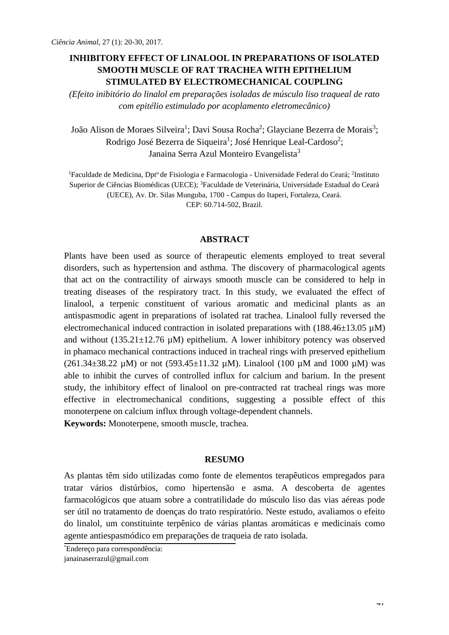## **INHIBITORY EFFECT OF LINALOOL IN PREPARATIONS OF ISOLATED SMOOTH MUSCLE OF RAT TRACHEA WITH EPITHELIUM STIMULATED BY ELECTROMECHANICAL COUPLING**

*(Efeito inibitório do linalol em preparações isoladas de músculo liso traqueal de rato com epitélio estimulado por acoplamento eletromecânico)*

João Alison de Moraes Silveira<sup>1</sup>; Davi Sousa Rocha<sup>2</sup>; Glayciane Bezerra de Morais<sup>3</sup>; Rodrigo José Bezerra de Siqueira<sup>1</sup>; José Henrique Leal-Cardoso<sup>2</sup>; Janaina Serra Azul Monteiro Evangelista<sup>3</sup>

<sup>1</sup>Faculdade de Medicina, Dpt<sup>o</sup> de Fisiologia e Farmacologia - Universidade Federal do Ceará; <sup>2</sup>Instituto Superior de Ciências Biomédicas (UECE); <sup>3</sup>Faculdade de Veterinária, Universidade Estadual do Ceará (UECE), Av. Dr. Silas Munguba, 1700 - Campus do Itaperi, Fortaleza, Ceará. CEP: 60.714-502, Brazil.

#### **ABSTRACT**

Plants have been used as source of therapeutic elements employed to treat several disorders, such as hypertension and asthma. The discovery of pharmacological agents that act on the contractility of airways smooth muscle can be considered to help in treating diseases of the respiratory tract. In this study, we evaluated the effect of linalool, a terpenic constituent of various aromatic and medicinal plants as an antispasmodic agent in preparations of isolated rat trachea. Linalool fully reversed the electromechanical induced contraction in isolated preparations with  $(188.46\pm13.05 \,\mu\text{M})$ and without  $(135.21 \pm 12.76 \,\mu\text{M})$  epithelium. A lower inhibitory potency was observed in phamaco mechanical contractions induced in tracheal rings with preserved epithelium (261.34 $\pm$ 38.22 µM) or not (593.45 $\pm$ 11.32 µM). Linalool (100 µM and 1000 µM) was able to inhibit the curves of controlled influx for calcium and barium. In the present study, the inhibitory effect of linalool on pre-contracted rat tracheal rings was more effective in electromechanical conditions, suggesting a possible effect of this monoterpene on calcium influx through voltage-dependent channels.

**Keywords:** Monoterpene, smooth muscle, trachea.

#### **RESUMO**

As plantas têm sido utilizadas como fonte de elementos terapêuticos empregados para tratar vários distúrbios, como hipertensão e asma. A descoberta de agentes farmacológicos que atuam sobre a contratilidade do músculo liso das vias aéreas pode ser útil no tratamento de doenças do trato respiratório. Neste estudo, avaliamos o efeito do linalol, um constituinte terpênico de várias plantas aromáticas e medicinais como agente antiespasmódico em preparações de traqueia de rato isolada.

<sup>\*</sup>Endereço para correspondência[:](mailto:janainaserrazul@gmail.com) [janainaserrazul@gmail.com](mailto:janainaserrazul@gmail.com)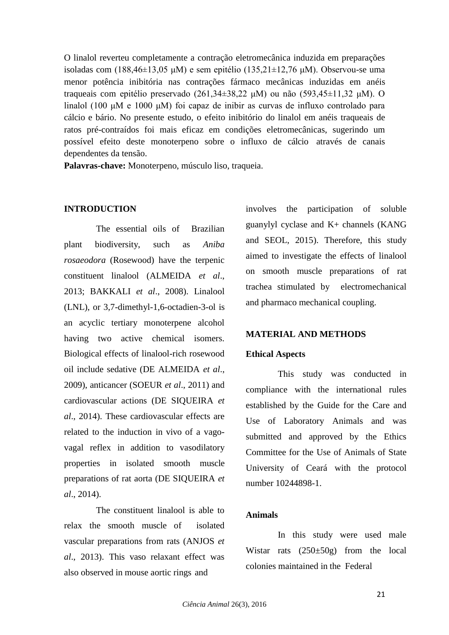O linalol reverteu completamente a contração eletromecânica induzida em preparações isoladas com (188,46±13,05 μM) e sem epitélio (135,21±12,76 μM). Observou-se uma menor potência inibitória nas contrações fármaco mecânicas induzidas em anéis traqueais com epitélio preservado (261,34±38,22 μM) ou não (593,45±11,32 μM). O linalol (100 μM e 1000 μM) foi capaz de inibir as curvas de influxo controlado para cálcio e bário. No presente estudo, o efeito inibitório do linalol em anéis traqueais de ratos pré-contraídos foi mais eficaz em condições eletromecânicas, sugerindo um possível efeito deste monoterpeno sobre o influxo de cálcio através de canais dependentes da tensão.

**Palavras-chave:** Monoterpeno, músculo liso, traqueia.

### **INTRODUCTION**

The essential oils of Brazilian plant biodiversity, such as *Aniba rosaeodora* (Rosewood) have the terpenic constituent linalool (ALMEIDA *et al*., 2013; BAKKALI *et al*., 2008). Linalool (LNL), or 3,7-dimethyl-1,6-octadien-3-ol is an acyclic tertiary monoterpene alcohol having two active chemical isomers. Biological effects of linalool-rich rosewood oil include sedative (DE ALMEIDA *et al*., 2009), anticancer (SOEUR *et al*., 2011) and cardiovascular actions (DE SIQUEIRA *et al*., 2014). These cardiovascular effects are related to the induction in vivo of a vagovagal reflex in addition to vasodilatory properties in isolated smooth muscle preparations of rat aorta (DE SIQUEIRA *et al*., 2014).

The constituent linalool is able to relax the smooth muscle of isolated vascular preparations from rats (ANJOS *et al*., 2013). This vaso relaxant effect was also observed in mouse aortic rings and

involves the participation of soluble guanylyl cyclase and  $K<sub>+</sub>$  channels (KANG) and SEOL, 2015). Therefore, this study aimed to investigate the effects of linalool on smooth muscle preparations of rat trachea stimulated by electromechanical and pharmaco mechanical coupling.

## **MATERIAL AND METHODS**

## **Ethical Aspects**

This study was conducted in compliance with the international rules established by the Guide for the Care and Use of Laboratory Animals and was submitted and approved by the Ethics Committee for the Use of Animals of State University of Ceará with the protocol number 10244898-1.

### **Animals**

In this study were used male Wistar rats (250±50g) from the local colonies maintained in the Federal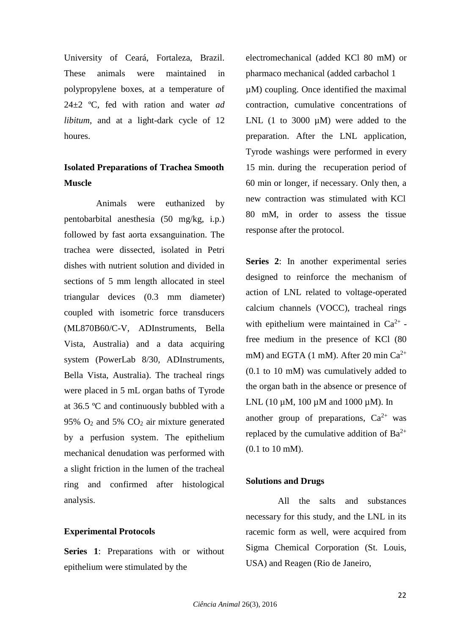University of Ceará, Fortaleza, Brazil. These animals were maintained in polypropylene boxes, at a temperature of 24±2 ºC, fed with ration and water *ad libitum*, and at a light-dark cycle of 12 houres.

# **Isolated Preparations of Trachea Smooth Muscle**

Animals were euthanized by pentobarbital anesthesia (50 mg/kg, i.p.) followed by fast aorta exsanguination. The trachea were dissected, isolated in Petri dishes with nutrient solution and divided in sections of 5 mm length allocated in steel triangular devices (0.3 mm diameter) coupled with isometric force transducers (ML870B60/C-V, ADInstruments, Bella Vista, Australia) and a data acquiring system (PowerLab 8/30, ADInstruments, Bella Vista, Australia). The tracheal rings were placed in 5 mL organ baths of Tyrode at 36.5 ºC and continuously bubbled with a 95% O<sup>2</sup> and 5% CO<sup>2</sup> air mixture generated by a perfusion system. The epithelium mechanical denudation was performed with a slight friction in the lumen of the tracheal ring and confirmed after histological analysis.

### **Experimental Protocols**

**Series 1**: Preparations with or without epithelium were stimulated by the

electromechanical (added KCl 80 mM) or pharmaco mechanical (added carbachol 1 µM) coupling. Once identified the maximal contraction, cumulative concentrations of LNL  $(1 \text{ to } 3000 \text{ µM})$  were added to the preparation. After the LNL application, Tyrode washings were performed in every 15 min. during the recuperation period of 60 min or longer, if necessary. Only then, a new contraction was stimulated with KCl 80 mM, in order to assess the tissue response after the protocol.

**Series 2**: In another experimental series designed to reinforce the mechanism of action of LNL related to voltage-operated calcium channels (VOCC), tracheal rings with epithelium were maintained in  $Ca^{2+}$  free medium in the presence of KCl (80 mM) and EGTA (1 mM). After 20 min  $Ca^{2+}$ (0.1 to 10 mM) was cumulatively added to the organ bath in the absence or presence of LNL (10  $\mu$ M, 100  $\mu$ M and 1000  $\mu$ M). In another group of preparations,  $Ca^{2+}$  was replaced by the cumulative addition of  $Ba^{2+}$ (0.1 to 10 mM).

### **Solutions and Drugs**

All the salts and substances necessary for this study, and the LNL in its racemic form as well, were acquired from Sigma Chemical Corporation (St. Louis, USA) and Reagen (Rio de Janeiro,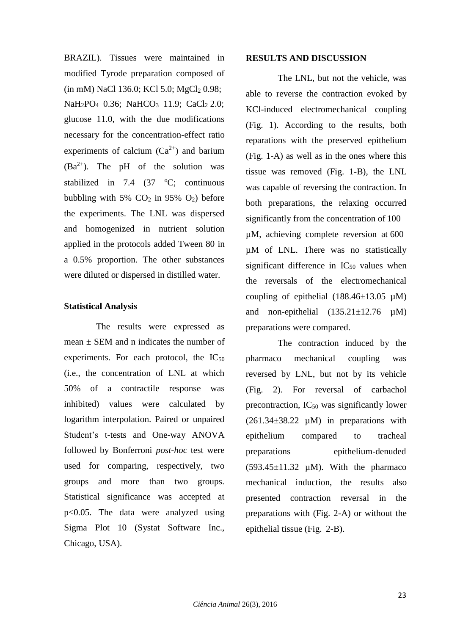BRAZIL). Tissues were maintained in modified Tyrode preparation composed of  $(in mM)$  NaCl 136.0; KCl 5.0; MgCl<sub>2</sub> 0.98; NaH<sub>2</sub>PO<sub>4</sub> 0.36; NaHCO<sub>3</sub> 11.9; CaCl<sub>2</sub> 2.0; glucose 11.0, with the due modifications necessary for the concentration-effect ratio experiments of calcium  $(Ca^{2+})$  and barium  $(Ba^{2+})$ . The pH of the solution was stabilized in 7.4  $(37 \text{ °C})$ ; continuous bubbling with 5%  $CO<sub>2</sub>$  in 95%  $O<sub>2</sub>$ ) before the experiments. The LNL was dispersed and homogenized in nutrient solution applied in the protocols added Tween 80 in a 0.5% proportion. The other substances were diluted or dispersed in distilled water.

#### **Statistical Analysis**

The results were expressed as mean  $\pm$  SEM and n indicates the number of experiments. For each protocol, the  $IC_{50}$ (i.e., the concentration of LNL at which 50% of a contractile response was inhibited) values were calculated by logarithm interpolation. Paired or unpaired Student's t-tests and One-way ANOVA followed by Bonferroni *post-hoc* test were used for comparing, respectively, two groups and more than two groups. Statistical significance was accepted at p<0.05. The data were analyzed using Sigma Plot 10 (Systat Software Inc., Chicago, USA).

#### **RESULTS AND DISCUSSION**

The LNL, but not the vehicle, was able to reverse the contraction evoked by KCl-induced electromechanical coupling (Fig. 1). According to the results, both reparations with the preserved epithelium (Fig. 1-A) as well as in the ones where this tissue was removed (Fig. 1-B), the LNL was capable of reversing the contraction. In both preparations, the relaxing occurred significantly from the concentration of 100 µM, achieving complete reversion at 600 µM of LNL. There was no statistically significant difference in  $IC_{50}$  values when the reversals of the electromechanical coupling of epithelial  $(188.46\pm13.05 \mu M)$ and non-epithelial  $(135.21 \pm 12.76 \mu M)$ preparations were compared.

The contraction induced by the pharmaco mechanical coupling was reversed by LNL, but not by its vehicle (Fig. 2). For reversal of carbachol precontraction,  $IC_{50}$  was significantly lower  $(261.34\pm38.22 \mu M)$  in preparations with epithelium compared to tracheal preparations epithelium-denuded  $(593.45\pm11.32 \mu M)$ . With the pharmaco mechanical induction, the results also presented contraction reversal in the preparations with (Fig. 2-A) or without the epithelial tissue (Fig. 2-B).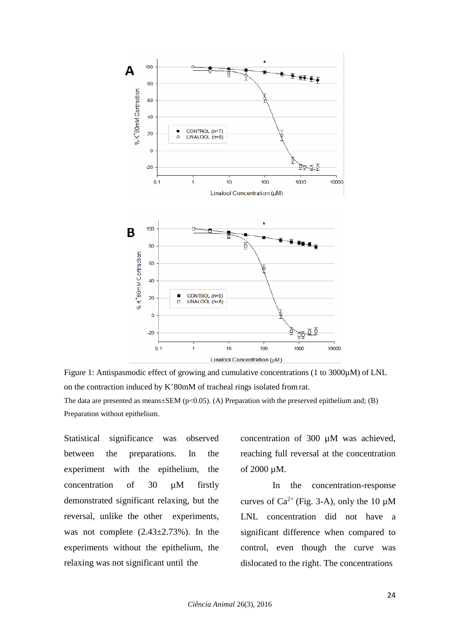

Figure 1: Antispasmodic effect of growing and cumulative concentrations (1 to 3000µM) of LNL on the contraction induced by K<sup>+</sup>80mM of tracheal rings isolated fromrat. The data are presented as means $\pm$ SEM (p<0.05). (A) Preparation with the preserved epithelium and; (B) Preparation without epithelium.

Statistical significance was observed between the preparations. In the experiment with the epithelium, the concentration of 30 µM firstly demonstrated significant relaxing, but the reversal, unlike the other experiments, was not complete  $(2.43\pm2.73\%)$ . In the experiments without the epithelium, the relaxing was not significant until the

concentration of 300 µM was achieved, reaching full reversal at the concentration of 2000 µM.

In the concentration-response curves of  $Ca^{2+}$  (Fig. 3-A), only the 10  $\mu$ M LNL concentration did not have a significant difference when compared to control, even though the curve was dislocated to the right. The concentrations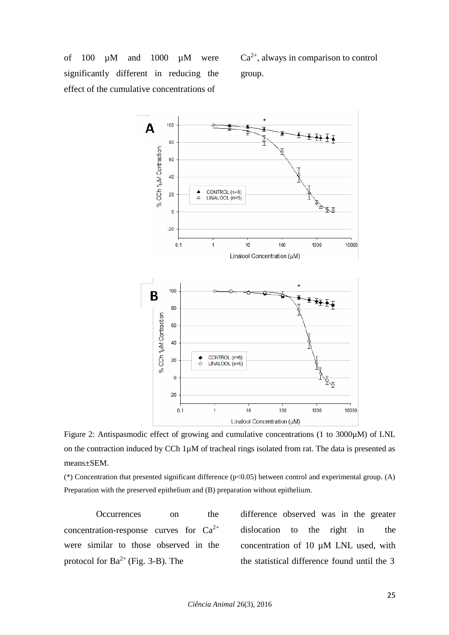of 100  $\mu$ M and 1000  $\mu$ M were significantly different in reducing the effect of the cumulative concentrations of

 $Ca<sup>2+</sup>$ , always in comparison to control group.



Figure 2: Antispasmodic effect of growing and cumulative concentrations (1 to 3000µM) of LNL on the contraction induced by CCh  $1\mu$ M of tracheal rings isolated from rat. The data is presented as means±SEM.

(\*) Concentration that presented significant difference (p<0.05) between control and experimental group. (A) Preparation with the preserved epithelium and (B) preparation without epithelium.

Occurrences on the concentration-response curves for  $Ca^{2+}$ were similar to those observed in the protocol for  $Ba^{2+}$  (Fig. 3-B). The

difference observed was in the greater dislocation to the right in the concentration of 10  $\mu$ M LNL used, with the statistical difference found until the 3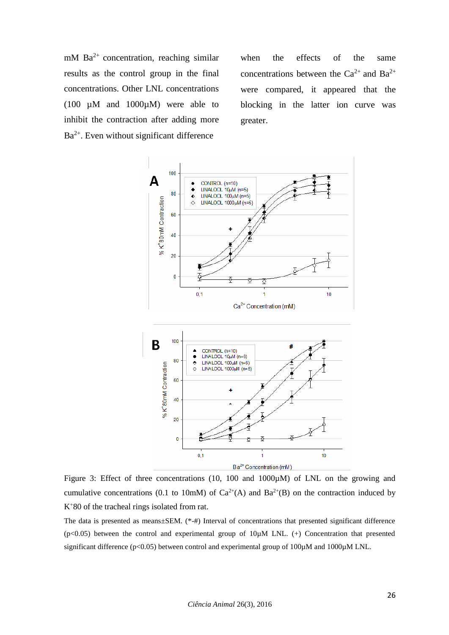mM  $Ba^{2+}$  concentration, reaching similar results as the control group in the final concentrations. Other LNL concentrations (100  $\mu$ M and 1000 $\mu$ M) were able to inhibit the contraction after adding more Ba<sup>2+</sup>. Even without significant difference

when the effects of the same concentrations between the  $Ca^{2+}$  and  $Ba^{2+}$ were compared, it appeared that the blocking in the latter ion curve was greater.



Figure 3: Effect of three concentrations (10, 100 and 1000µM) of LNL on the growing and cumulative concentrations (0.1 to 10mM) of  $Ca^{2+}(A)$  and  $Ba^{2+}(B)$  on the contraction induced by K<sup>+</sup>80 of the tracheal rings isolated from rat.

The data is presented as means±SEM. (\*-#) Interval of concentrations that presented significant difference  $(p<0.05)$  between the control and experimental group of  $10\mu$ M LNL. (+) Concentration that presented significant difference (p<0.05) between control and experimental group of 100 $\mu$ M and 1000 $\mu$ M LNL.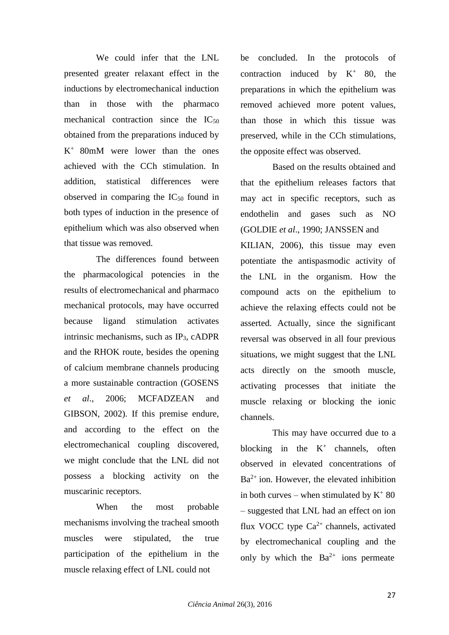We could infer that the LNL presented greater relaxant effect in the inductions by electromechanical induction than in those with the pharmaco mechanical contraction since the  $IC_{50}$ obtained from the preparations induced by K <sup>+</sup>80mM were lower than the ones achieved with the CCh stimulation. In addition, statistical differences were observed in comparing the  $IC_{50}$  found in both types of induction in the presence of epithelium which was also observed when that tissue was removed.

The differences found between the pharmacological potencies in the results of electromechanical and pharmaco mechanical protocols, may have occurred because ligand stimulation activates intrinsic mechanisms, such as  $IP<sub>3</sub>$ , cADPR and the RHOK route, besides the opening of calcium membrane channels producing a more sustainable contraction (GOSENS *et al*., 2006; MCFADZEAN and GIBSON, 2002). If this premise endure, and according to the effect on the electromechanical coupling discovered, we might conclude that the LNL did not possess a blocking activity on the muscarinic receptors.

When the most probable mechanisms involving the tracheal smooth muscles were stipulated, the true participation of the epithelium in the muscle relaxing effect of LNL could not

be concluded. In the protocols of contraction induced by  $K^+$  80, the preparations in which the epithelium was removed achieved more potent values, than those in which this tissue was preserved, while in the CCh stimulations, the opposite effect was observed.

Based on the results obtained and that the epithelium releases factors that may act in specific receptors, such as endothelin and gases such as NO (GOLDIE *et al*., 1990; JANSSEN and KILIAN, 2006), this tissue may even potentiate the antispasmodic activity of the LNL in the organism. How the compound acts on the epithelium to achieve the relaxing effects could not be asserted. Actually, since the significant reversal was observed in all four previous situations, we might suggest that the LNL acts directly on the smooth muscle, activating processes that initiate the muscle relaxing or blocking the ionic channels.

This may have occurred due to a blocking in the  $K^+$  channels, often observed in elevated concentrations of  $Ba^{2+}$  ion. However, the elevated inhibition in both curves – when stimulated by  $K^+$  80 – suggested that LNL had an effect on ion flux VOCC type  $Ca^{2+}$  channels, activated by electromechanical coupling and the only by which the  $Ba^{2+}$  ions permeate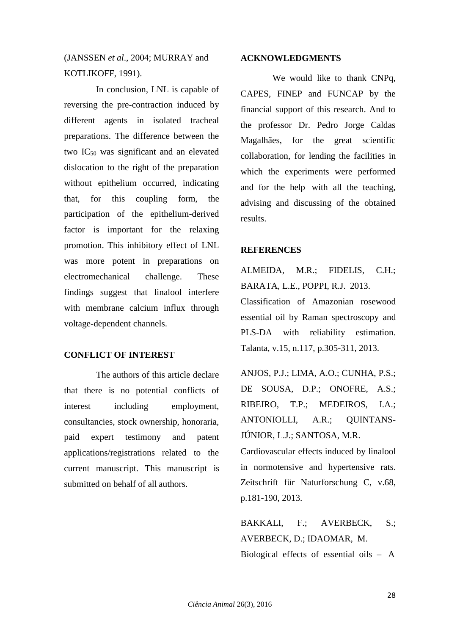# (JANSSEN *et al*., 2004; MURRAY and KOTLIKOFF, 1991).

In conclusion, LNL is capable of reversing the pre-contraction induced by different agents in isolated tracheal preparations. The difference between the two  $IC_{50}$  was significant and an elevated dislocation to the right of the preparation without epithelium occurred, indicating that, for this coupling form, the participation of the epithelium-derived factor is important for the relaxing promotion. This inhibitory effect of LNL was more potent in preparations on electromechanical challenge. These findings suggest that linalool interfere with membrane calcium influx through voltage-dependent channels.

## **CONFLICT OF INTEREST**

The authors of this article declare that there is no potential conflicts of interest including employment, consultancies, stock ownership, honoraria, paid expert testimony and patent applications/registrations related to the current manuscript. This manuscript is submitted on behalf of all authors.

#### **ACKNOWLEDGMENTS**

We would like to thank CNPq, CAPES, FINEP and FUNCAP by the financial support of this research. And to the professor Dr. Pedro Jorge Caldas Magalhães, for the great scientific collaboration, for lending the facilities in which the experiments were performed and for the help with all the teaching, advising and discussing of the obtained results.

#### **REFERENCES**

ALMEIDA, M.R.; FIDELIS, C.H.; BARATA, L.E., POPPI, R.J. 2013. Classification of Amazonian rosewood essential oil by Raman spectroscopy and PLS-DA with reliability estimation. Talanta, v.15, n.117, p.305-311, 2013.

ANJOS, P.J.; LIMA, A.O.; CUNHA, P.S.; DE SOUSA, D.P.; ONOFRE, A.S.; RIBEIRO, T.P.; MEDEIROS, I.A.; ANTONIOLLI, A.R.; QUINTANS-JÚNIOR, L.J.; SANTOSA, M.R. Cardiovascular effects induced by linalool

in normotensive and hypertensive rats. Zeitschrift für Naturforschung C, v.68, p.181-190, 2013.

BAKKALI, F.; AVERBECK, S.; AVERBECK, D.; IDAOMAR, M. Biological effects of essential oils – A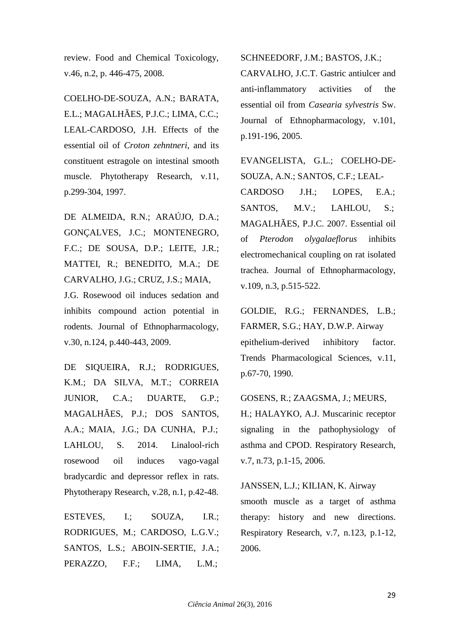review. Food and Chemical Toxicology, v.46, n.2, p. 446-475, 2008.

COELHO-DE-SOUZA, A.N.; BARATA, E.L.; MAGALHÃES, P.J.C.; LIMA, C.C.; LEAL-CARDOSO, J.H. Effects of the essential oil of *Croton zehntneri*, and its constituent estragole on intestinal smooth muscle. Phytotherapy Research, v.11, p.299-304, 1997.

DE ALMEIDA, R.N.; ARAÚJO, D.A.; GONÇALVES, J.C.; MONTENEGRO, F.C.; DE SOUSA, D.P.; LEITE, J.R.; MATTEI, R.; BENEDITO, M.A.; DE CARVALHO, J.G.; CRUZ, J.S.; MAIA, J.G. Rosewood oil induces sedation and inhibits compound action potential in rodents. Journal of Ethnopharmacology, v.30, n.124, p.440-443, 2009.

DE SIQUEIRA, R.J.; RODRIGUES, K.M.; DA SILVA, M.T.; CORREIA JUNIOR, C.A.; DUARTE, G.P.; MAGALHÃES, P.J.; DOS SANTOS, A.A.; MAIA, J.G.; DA CUNHA, P.J.; LAHLOU, S. 2014. Linalool-rich rosewood oil induces vago-vagal bradycardic and depressor reflex in rats. Phytotherapy Research, v.28, n.1, p.42-48.

ESTEVES, I.; SOUZA, I.R.; RODRIGUES, M.; CARDOSO, L.G.V.; SANTOS, L.S.; ABOIN-SERTIE, J.A.; PERAZZO, F.F.; LIMA, L.M.;

SCHNEEDORF, J.M.; BASTOS, J.K.;

CARVALHO, J.C.T. Gastric antiulcer and anti-inflammatory activities of the essential oil from *Casearia sylvestris* Sw. Journal of Ethnopharmacology, v.101, p.191-196, 2005.

EVANGELISTA, G.L.; COELHO-DE-SOUZA, A.N.; SANTOS, C.F.; LEAL-CARDOSO J.H.; LOPES, E.A.; SANTOS, M.V.; LAHLOU, S.; MAGALHÃES, P.J.C. 2007. Essential oil of *Pterodon olygalaeflorus* inhibits electromechanical coupling on rat isolated trachea. Journal of Ethnopharmacology, v.109, n.3, p.515-522.

GOLDIE, R.G.; FERNANDES, L.B.; FARMER, S.G.; HAY, D.W.P. Airway epithelium-derived inhibitory factor. Trends Pharmacological Sciences, v.11, p.67-70, 1990.

GOSENS, R.; ZAAGSMA, J.; MEURS,

H.; HALAYKO, A.J. Muscarinic receptor signaling in the pathophysiology of asthma and CPOD. Respiratory Research, v.7, n.73, p.1-15, 2006.

JANSSEN, L.J.; KILIAN, K. Airway

smooth muscle as a target of asthma therapy: history and new directions. Respiratory Research, v.7, n.123, p.1-12, 2006.